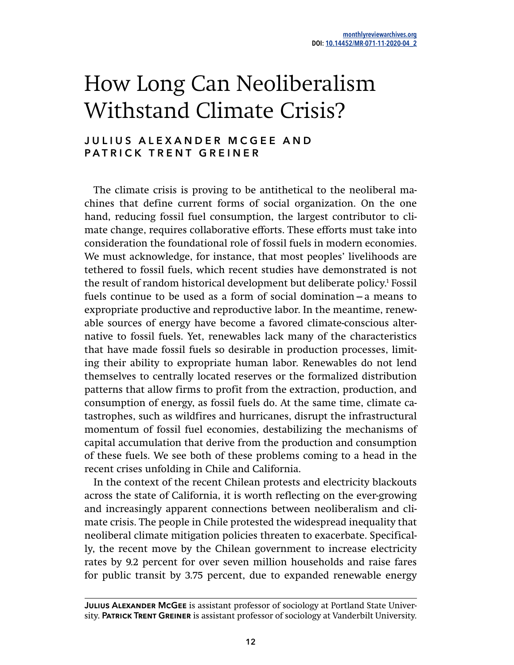## How Long Can Neoliberalism Withstand Climate Crisis?

## **JULIUS ALEXANDER MCGEE AND PATRICK TRENT GREINER**

The climate crisis is proving to be antithetical to the neoliberal machines that define current forms of social organization. On the one hand, reducing fossil fuel consumption, the largest contributor to climate change, requires collaborative efforts. These efforts must take into consideration the foundational role of fossil fuels in modern economies. We must acknowledge, for instance, that most peoples' livelihoods are tethered to fossil fuels, which recent studies have demonstrated is not the result of random historical development but deliberate policy.<sup>1</sup> Fossil fuels continue to be used as a form of social domination—a means to expropriate productive and reproductive labor. In the meantime, renewable sources of energy have become a favored climate-conscious alternative to fossil fuels. Yet, renewables lack many of the characteristics that have made fossil fuels so desirable in production processes, limiting their ability to expropriate human labor. Renewables do not lend themselves to centrally located reserves or the formalized distribution patterns that allow firms to profit from the extraction, production, and consumption of energy, as fossil fuels do. At the same time, climate catastrophes, such as wildfires and hurricanes, disrupt the infrastructural momentum of fossil fuel economies, destabilizing the mechanisms of capital accumulation that derive from the production and consumption of these fuels. We see both of these problems coming to a head in the recent crises unfolding in Chile and California.

In the context of the recent Chilean protests and electricity blackouts across the state of California, it is worth reflecting on the ever-growing and increasingly apparent connections between neoliberalism and climate crisis. The people in Chile protested the widespread inequality that neoliberal climate mitigation policies threaten to exacerbate. Specifically, the recent move by the Chilean government to increase electricity rates by 9.2 percent for over seven million households and raise fares for public transit by 3.75 percent, due to expanded renewable energy

**Julius Alexander McGee** is assistant professor of sociology at Portland State University. **Patrick Trent Greiner** is assistant professor of sociology at Vanderbilt University.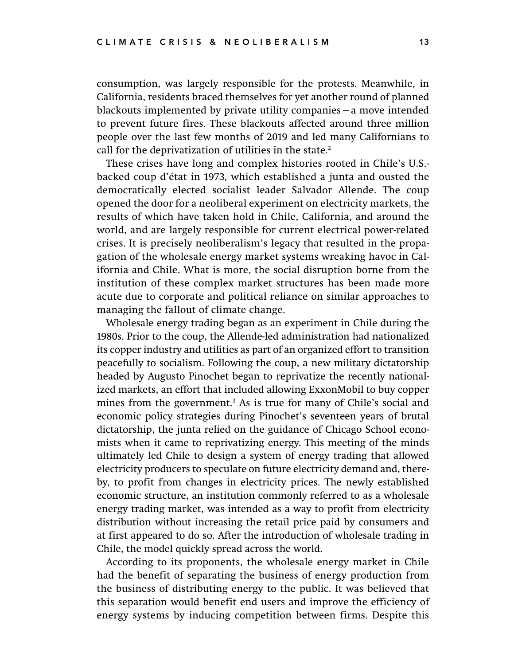consumption, was largely responsible for the protests. Meanwhile, in California, residents braced themselves for yet another round of planned blackouts implemented by private utility companies—a move intended to prevent future fires. These blackouts affected around three million people over the last few months of 2019 and led many Californians to call for the deprivatization of utilities in the state.<sup>2</sup>

These crises have long and complex histories rooted in Chile's U.S. backed coup d'état in 1973, which established a junta and ousted the democratically elected socialist leader Salvador Allende. The coup opened the door for a neoliberal experiment on electricity markets, the results of which have taken hold in Chile, California, and around the world, and are largely responsible for current electrical power-related crises. It is precisely neoliberalism's legacy that resulted in the propagation of the wholesale energy market systems wreaking havoc in California and Chile. What is more, the social disruption borne from the institution of these complex market structures has been made more acute due to corporate and political reliance on similar approaches to managing the fallout of climate change.

Wholesale energy trading began as an experiment in Chile during the 1980s. Prior to the coup, the Allende-led administration had nationalized its copper industry and utilities as part of an organized effort to transition peacefully to socialism. Following the coup, a new military dictatorship headed by Augusto Pinochet began to reprivatize the recently nationalized markets, an effort that included allowing ExxonMobil to buy copper mines from the government.<sup>3</sup> As is true for many of Chile's social and economic policy strategies during Pinochet's seventeen years of brutal dictatorship, the junta relied on the guidance of Chicago School economists when it came to reprivatizing energy. This meeting of the minds ultimately led Chile to design a system of energy trading that allowed electricity producers to speculate on future electricity demand and, thereby, to profit from changes in electricity prices. The newly established economic structure, an institution commonly referred to as a wholesale energy trading market, was intended as a way to profit from electricity distribution without increasing the retail price paid by consumers and at first appeared to do so. After the introduction of wholesale trading in Chile, the model quickly spread across the world.

According to its proponents, the wholesale energy market in Chile had the benefit of separating the business of energy production from the business of distributing energy to the public. It was believed that this separation would benefit end users and improve the efficiency of energy systems by inducing competition between firms. Despite this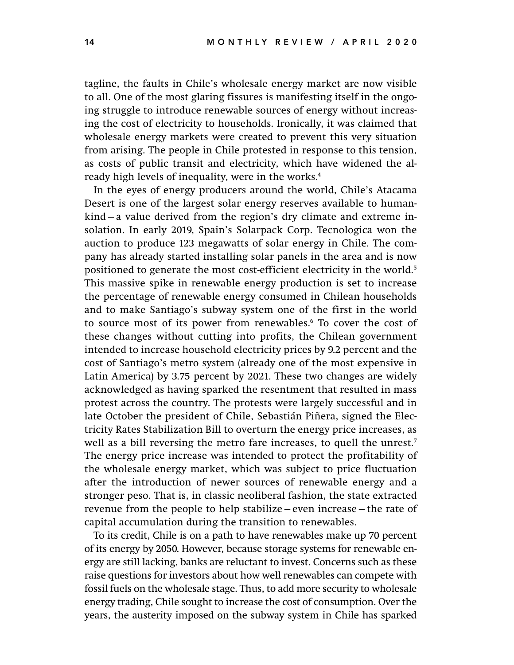tagline, the faults in Chile's wholesale energy market are now visible to all. One of the most glaring fissures is manifesting itself in the ongoing struggle to introduce renewable sources of energy without increasing the cost of electricity to households. Ironically, it was claimed that wholesale energy markets were created to prevent this very situation from arising. The people in Chile protested in response to this tension, as costs of public transit and electricity, which have widened the already high levels of inequality, were in the works.<sup>4</sup>

In the eyes of energy producers around the world, Chile's Atacama Desert is one of the largest solar energy reserves available to humankind—a value derived from the region's dry climate and extreme insolation. In early 2019, Spain's Solarpack Corp. Tecnologica won the auction to produce 123 megawatts of solar energy in Chile. The company has already started installing solar panels in the area and is now positioned to generate the most cost-efficient electricity in the world.<sup>5</sup> This massive spike in renewable energy production is set to increase the percentage of renewable energy consumed in Chilean households and to make Santiago's subway system one of the first in the world to source most of its power from renewables.<sup>6</sup> To cover the cost of these changes without cutting into profits, the Chilean government intended to increase household electricity prices by 9.2 percent and the cost of Santiago's metro system (already one of the most expensive in Latin America) by 3.75 percent by 2021. These two changes are widely acknowledged as having sparked the resentment that resulted in mass protest across the country. The protests were largely successful and in late October the president of Chile, Sebastián Piñera, signed the Electricity Rates Stabilization Bill to overturn the energy price increases, as well as a bill reversing the metro fare increases, to quell the unrest.<sup>7</sup> The energy price increase was intended to protect the profitability of the wholesale energy market, which was subject to price fluctuation after the introduction of newer sources of renewable energy and a stronger peso. That is, in classic neoliberal fashion, the state extracted revenue from the people to help stabilize—even increase—the rate of capital accumulation during the transition to renewables.

To its credit, Chile is on a path to have renewables make up 70 percent of its energy by 2050. However, because storage systems for renewable energy are still lacking, banks are reluctant to invest. Concerns such as these raise questions for investors about how well renewables can compete with fossil fuels on the wholesale stage. Thus, to add more security to wholesale energy trading, Chile sought to increase the cost of consumption. Over the years, the austerity imposed on the subway system in Chile has sparked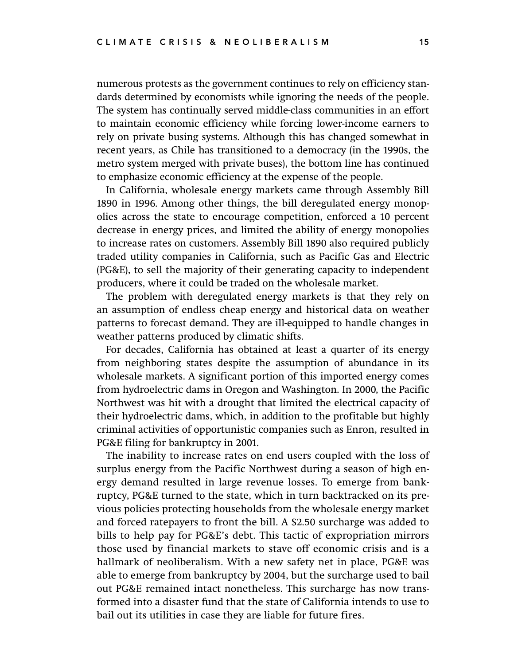numerous protests as the government continues to rely on efficiency standards determined by economists while ignoring the needs of the people. The system has continually served middle-class communities in an effort to maintain economic efficiency while forcing lower-income earners to rely on private busing systems. Although this has changed somewhat in recent years, as Chile has transitioned to a democracy (in the 1990s, the metro system merged with private buses), the bottom line has continued to emphasize economic efficiency at the expense of the people.

In California, wholesale energy markets came through Assembly Bill 1890 in 1996. Among other things, the bill deregulated energy monopolies across the state to encourage competition, enforced a 10 percent decrease in energy prices, and limited the ability of energy monopolies to increase rates on customers. Assembly Bill 1890 also required publicly traded utility companies in California, such as Pacific Gas and Electric (PG&E), to sell the majority of their generating capacity to independent producers, where it could be traded on the wholesale market.

The problem with deregulated energy markets is that they rely on an assumption of endless cheap energy and historical data on weather patterns to forecast demand. They are ill-equipped to handle changes in weather patterns produced by climatic shifts.

For decades, California has obtained at least a quarter of its energy from neighboring states despite the assumption of abundance in its wholesale markets. A significant portion of this imported energy comes from hydroelectric dams in Oregon and Washington. In 2000, the Pacific Northwest was hit with a drought that limited the electrical capacity of their hydroelectric dams, which, in addition to the profitable but highly criminal activities of opportunistic companies such as Enron, resulted in PG&E filing for bankruptcy in 2001.

The inability to increase rates on end users coupled with the loss of surplus energy from the Pacific Northwest during a season of high energy demand resulted in large revenue losses. To emerge from bankruptcy, PG&E turned to the state, which in turn backtracked on its previous policies protecting households from the wholesale energy market and forced ratepayers to front the bill. A \$2.50 surcharge was added to bills to help pay for PG&E's debt. This tactic of expropriation mirrors those used by financial markets to stave off economic crisis and is a hallmark of neoliberalism. With a new safety net in place, PG&E was able to emerge from bankruptcy by 2004, but the surcharge used to bail out PG&E remained intact nonetheless. This surcharge has now transformed into a disaster fund that the state of California intends to use to bail out its utilities in case they are liable for future fires.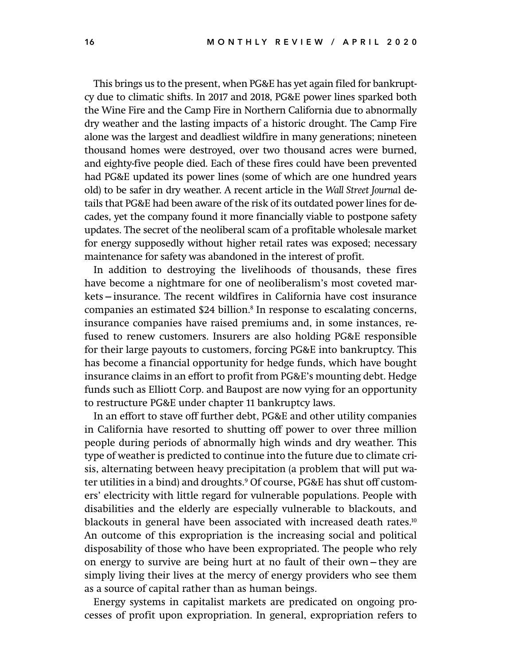This brings us to the present, when PG&E has yet again filed for bankruptcy due to climatic shifts. In 2017 and 2018, PG&E power lines sparked both the Wine Fire and the Camp Fire in Northern California due to abnormally dry weather and the lasting impacts of a historic drought. The Camp Fire alone was the largest and deadliest wildfire in many generations; nineteen thousand homes were destroyed, over two thousand acres were burned, and eighty-five people died. Each of these fires could have been prevented had PG&E updated its power lines (some of which are one hundred years old) to be safer in dry weather. A recent article in the *Wall Street Journa*l details that PG&E had been aware of the risk of its outdated power lines for decades, yet the company found it more financially viable to postpone safety updates. The secret of the neoliberal scam of a profitable wholesale market for energy supposedly without higher retail rates was exposed; necessary maintenance for safety was abandoned in the interest of profit.

In addition to destroying the livelihoods of thousands, these fires have become a nightmare for one of neoliberalism's most coveted markets—insurance. The recent wildfires in California have cost insurance companies an estimated \$24 billion.<sup>8</sup> In response to escalating concerns, insurance companies have raised premiums and, in some instances, refused to renew customers. Insurers are also holding PG&E responsible for their large payouts to customers, forcing PG&E into bankruptcy. This has become a financial opportunity for hedge funds, which have bought insurance claims in an effort to profit from PG&E's mounting debt. Hedge funds such as Elliott Corp. and Baupost are now vying for an opportunity to restructure PG&E under chapter 11 bankruptcy laws.

In an effort to stave off further debt, PG&E and other utility companies in California have resorted to shutting off power to over three million people during periods of abnormally high winds and dry weather. This type of weather is predicted to continue into the future due to climate crisis, alternating between heavy precipitation (a problem that will put water utilities in a bind) and droughts.<sup>9</sup> Of course, PG&E has shut off customers' electricity with little regard for vulnerable populations. People with disabilities and the elderly are especially vulnerable to blackouts, and blackouts in general have been associated with increased death rates.<sup>10</sup> An outcome of this expropriation is the increasing social and political disposability of those who have been expropriated. The people who rely on energy to survive are being hurt at no fault of their own—they are simply living their lives at the mercy of energy providers who see them as a source of capital rather than as human beings.

Energy systems in capitalist markets are predicated on ongoing processes of profit upon expropriation. In general, expropriation refers to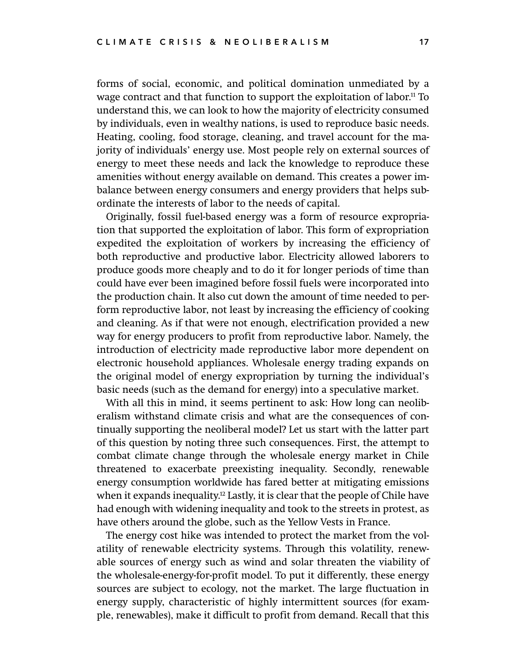forms of social, economic, and political domination unmediated by a wage contract and that function to support the exploitation of labor.<sup>11</sup> To understand this, we can look to how the majority of electricity consumed by individuals, even in wealthy nations, is used to reproduce basic needs. Heating, cooling, food storage, cleaning, and travel account for the majority of individuals' energy use. Most people rely on external sources of energy to meet these needs and lack the knowledge to reproduce these amenities without energy available on demand. This creates a power imbalance between energy consumers and energy providers that helps subordinate the interests of labor to the needs of capital.

Originally, fossil fuel-based energy was a form of resource expropriation that supported the exploitation of labor. This form of expropriation expedited the exploitation of workers by increasing the efficiency of both reproductive and productive labor. Electricity allowed laborers to produce goods more cheaply and to do it for longer periods of time than could have ever been imagined before fossil fuels were incorporated into the production chain. It also cut down the amount of time needed to perform reproductive labor, not least by increasing the efficiency of cooking and cleaning. As if that were not enough, electrification provided a new way for energy producers to profit from reproductive labor. Namely, the introduction of electricity made reproductive labor more dependent on electronic household appliances. Wholesale energy trading expands on the original model of energy expropriation by turning the individual's basic needs (such as the demand for energy) into a speculative market.

With all this in mind, it seems pertinent to ask: How long can neoliberalism withstand climate crisis and what are the consequences of continually supporting the neoliberal model? Let us start with the latter part of this question by noting three such consequences. First, the attempt to combat climate change through the wholesale energy market in Chile threatened to exacerbate preexisting inequality. Secondly, renewable energy consumption worldwide has fared better at mitigating emissions when it expands inequality.<sup>12</sup> Lastly, it is clear that the people of Chile have had enough with widening inequality and took to the streets in protest, as have others around the globe, such as the Yellow Vests in France.

The energy cost hike was intended to protect the market from the volatility of renewable electricity systems. Through this volatility, renewable sources of energy such as wind and solar threaten the viability of the wholesale-energy-for-profit model. To put it differently, these energy sources are subject to ecology, not the market. The large fluctuation in energy supply, characteristic of highly intermittent sources (for example, renewables), make it difficult to profit from demand. Recall that this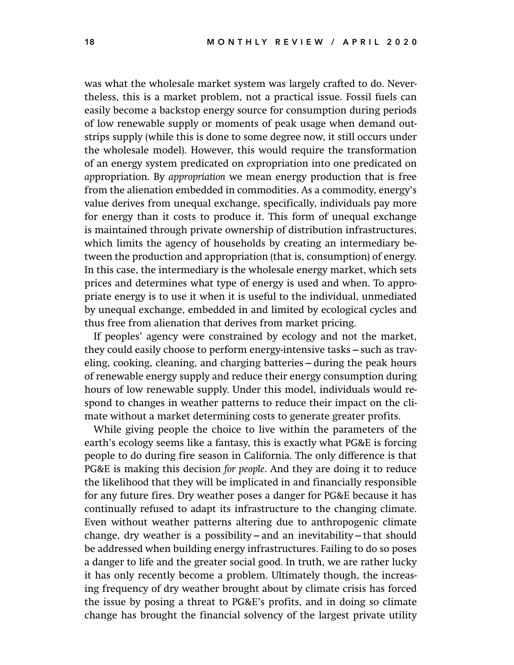was what the wholesale market system was largely crafted to do. Nevertheless, this is a market problem, not a practical issue. Fossil fuels can easily become a backstop energy source for consumption during periods of low renewable supply or moments of peak usage when demand outstrips supply (while this is done to some degree now, it still occurs under the wholesale model). However, this would require the transformation of an energy system predicated on *ex*propriation into one predicated on *ap*propriation. By *appropriation* we mean energy production that is free from the alienation embedded in commodities. As a commodity, energy's value derives from unequal exchange, specifically, individuals pay more for energy than it costs to produce it. This form of unequal exchange is maintained through private ownership of distribution infrastructures, which limits the agency of households by creating an intermediary between the production and appropriation (that is, consumption) of energy. In this case, the intermediary is the wholesale energy market, which sets prices and determines what type of energy is used and when. To appropriate energy is to use it when it is useful to the individual, unmediated by unequal exchange, embedded in and limited by ecological cycles and thus free from alienation that derives from market pricing.

If peoples' agency were constrained by ecology and not the market, they could easily choose to perform energy-intensive tasks—such as traveling, cooking, cleaning, and charging batteries—during the peak hours of renewable energy supply and reduce their energy consumption during hours of low renewable supply. Under this model, individuals would respond to changes in weather patterns to reduce their impact on the climate without a market determining costs to generate greater profits.

While giving people the choice to live within the parameters of the earth's ecology seems like a fantasy, this is exactly what PG&E is forcing people to do during fire season in California. The only difference is that PG&E is making this decision *for people*. And they are doing it to reduce the likelihood that they will be implicated in and financially responsible for any future fires. Dry weather poses a danger for PG&E because it has continually refused to adapt its infrastructure to the changing climate. Even without weather patterns altering due to anthropogenic climate change, dry weather is a possibility—and an inevitability—that should be addressed when building energy infrastructures. Failing to do so poses a danger to life and the greater social good. In truth, we are rather lucky it has only recently become a problem. Ultimately though, the increasing frequency of dry weather brought about by climate crisis has forced the issue by posing a threat to PG&E's profits, and in doing so climate change has brought the financial solvency of the largest private utility